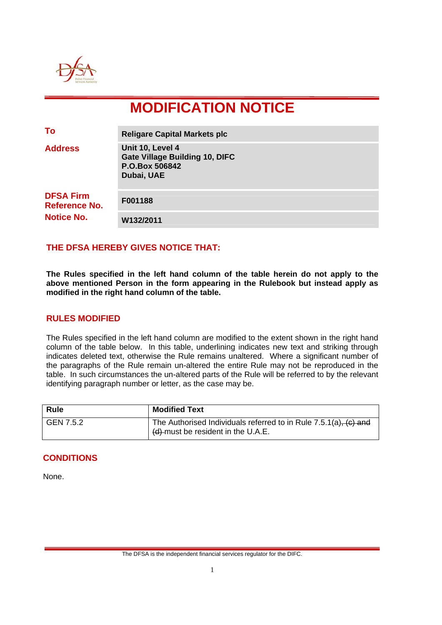

# **MODIFICATION NOTICE**

| To                                                            | <b>Religare Capital Markets plc</b>                                                       |
|---------------------------------------------------------------|-------------------------------------------------------------------------------------------|
| <b>Address</b>                                                | Unit 10, Level 4<br><b>Gate Village Building 10, DIFC</b><br>P.O.Box 506842<br>Dubai, UAE |
| <b>DFSA Firm</b><br><b>Reference No.</b><br><b>Notice No.</b> | F001188                                                                                   |
|                                                               | W132/2011                                                                                 |

## **THE DFSA HEREBY GIVES NOTICE THAT:**

**The Rules specified in the left hand column of the table herein do not apply to the above mentioned Person in the form appearing in the Rulebook but instead apply as modified in the right hand column of the table.** 

#### **RULES MODIFIED**

The Rules specified in the left hand column are modified to the extent shown in the right hand column of the table below. In this table, underlining indicates new text and striking through indicates deleted text, otherwise the Rule remains unaltered. Where a significant number of the paragraphs of the Rule remain un-altered the entire Rule may not be reproduced in the table. In such circumstances the un-altered parts of the Rule will be referred to by the relevant identifying paragraph number or letter, as the case may be.

| <b>Rule</b> | <b>Modified Text</b>                                                                                           |
|-------------|----------------------------------------------------------------------------------------------------------------|
| GEN 7.5.2   | The Authorised Individuals referred to in Rule $7.5.1(a)$ , $(c)$ and<br>$(d)$ -must be resident in the U.A.E. |

#### **CONDITIONS**

None.